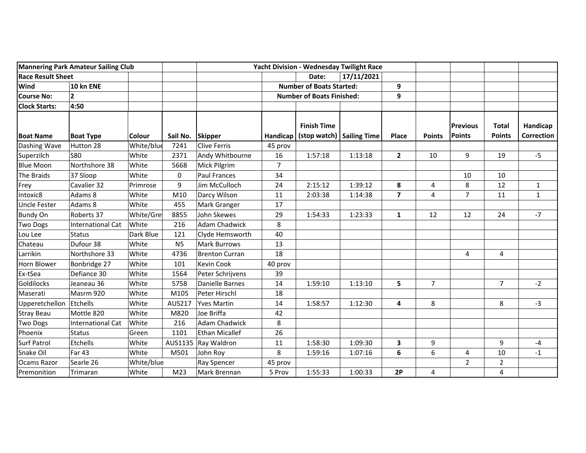| <b>Mannering Park Amateur Sailing Club</b> |                          |               | <b>Yacht Division - Wednesday Twilight Race</b> |                       |                                  |                                                   |         |                         |                |                                  |                               |                               |
|--------------------------------------------|--------------------------|---------------|-------------------------------------------------|-----------------------|----------------------------------|---------------------------------------------------|---------|-------------------------|----------------|----------------------------------|-------------------------------|-------------------------------|
| <b>Race Result Sheet</b>                   |                          |               |                                                 |                       | Date:                            | 17/11/2021                                        |         |                         |                |                                  |                               |                               |
| Wind                                       | 10 kn ENE                |               |                                                 |                       | <b>Number of Boats Started:</b>  |                                                   |         | 9                       |                |                                  |                               |                               |
| <b>Course No:</b>                          | $\overline{2}$           |               |                                                 |                       | <b>Number of Boats Finished:</b> |                                                   | 9       |                         |                |                                  |                               |                               |
| <b>Clock Starts:</b>                       | 4:50                     |               |                                                 |                       |                                  |                                                   |         |                         |                |                                  |                               |                               |
| <b>Boat Name</b>                           | <b>Boat Type</b>         | <b>Colour</b> | Sail No.                                        | <b>Skipper</b>        | Handicap                         | <b>Finish Time</b><br>(stop watch)   Sailing Time |         | <b>Place</b>            | <b>Points</b>  | <b>Previous</b><br><b>Points</b> | <b>Total</b><br><b>Points</b> | Handicap<br><b>Correction</b> |
| Dashing Wave                               | Hutton 28                | White/blue    | 7241                                            | <b>Clive Ferris</b>   | 45 prov                          |                                                   |         |                         |                |                                  |                               |                               |
| Superzilch                                 | <b>S80</b>               | White         | 2371                                            | Andy Whitbourne       | 16                               | 1:57:18                                           | 1:13:18 | $\mathbf{2}$            | 10             | 9                                | 19                            | $-5$                          |
| <b>Blue Moon</b>                           | Northshore 38            | White         | 5668                                            | Mick Pilgrim          | $\overline{7}$                   |                                                   |         |                         |                |                                  |                               |                               |
| The Braids                                 | 37 Sloop                 | White         | $\pmb{0}$                                       | <b>Paul Frances</b>   | 34                               |                                                   |         |                         |                | 10                               | 10                            |                               |
| Frey                                       | Cavalier 32              | Primrose      | 9                                               | Jim McCulloch         | 24                               | 2:15:12                                           | 1:39:12 | 8                       | 4              | 8                                | 12                            | $\mathbf{1}$                  |
| Intoxic8                                   | Adams 8                  | White         | M10                                             | Darcy Wilson          | 11                               | 2:03:38                                           | 1:14:38 | $\overline{\mathbf{z}}$ | $\overline{4}$ | $\overline{7}$                   | 11                            | $\mathbf{1}$                  |
| <b>Uncle Fester</b>                        | Adams 8                  | White         | 455                                             | Mark Granger          | 17                               |                                                   |         |                         |                |                                  |                               |                               |
| <b>Bundy On</b>                            | Roberts 37               | White/Gre     | 8855                                            | John Skewes           | 29                               | 1:54:33                                           | 1:23:33 | 1                       | 12             | 12                               | 24                            | $-7$                          |
| <b>Two Dogs</b>                            | International Cat        | White         | 216                                             | <b>Adam Chadwick</b>  | 8                                |                                                   |         |                         |                |                                  |                               |                               |
| Lou Lee                                    | <b>Status</b>            | Dark Blue     | 121                                             | Clyde Hemsworth       | 40                               |                                                   |         |                         |                |                                  |                               |                               |
| Chateau                                    | Dufour 38                | White         | <b>N5</b>                                       | <b>Mark Burrows</b>   | 13                               |                                                   |         |                         |                |                                  |                               |                               |
| Larrikin                                   | Northshore 33            | White         | 4736                                            | <b>Brenton Curran</b> | 18                               |                                                   |         |                         |                | 4                                | 4                             |                               |
| Horn Blower                                | Bonbridge 27             | White         | 101                                             | <b>Kevin Cook</b>     | 40 prov                          |                                                   |         |                         |                |                                  |                               |                               |
| Ex-tSea                                    | Defiance 30              | White         | 1564                                            | Peter Schrijvens      | 39                               |                                                   |         |                         |                |                                  |                               |                               |
| Goldilocks                                 | Jeaneau 36               | White         | 5758                                            | Danielle Barnes       | 14                               | 1:59:10                                           | 1:13:10 | 5                       | $\overline{7}$ |                                  | $\overline{7}$                | $-2$                          |
| Maserati                                   | Masrm 920                | White         | M105                                            | Peter Hirschl         | 18                               |                                                   |         |                         |                |                                  |                               |                               |
| Upperetchellon                             | Etchells                 | White         | <b>AUS217</b>                                   | <b>Yves Martin</b>    | 14                               | 1:58:57                                           | 1:12:30 | 4                       | 8              |                                  | 8                             | $-3$                          |
| <b>Stray Beau</b>                          | Mottle 820               | White         | M820                                            | Joe Briffa            | 42                               |                                                   |         |                         |                |                                  |                               |                               |
| <b>Two Dogs</b>                            | <b>International Cat</b> | White         | 216                                             | <b>Adam Chadwick</b>  | 8                                |                                                   |         |                         |                |                                  |                               |                               |
| Phoenix                                    | <b>Status</b>            | Green         | 1101                                            | <b>Ethan Micallef</b> | 26                               |                                                   |         |                         |                |                                  |                               |                               |
| <b>Surf Patrol</b>                         | Etchells                 | White         | AUS1135                                         | Ray Waldron           | 11                               | 1:58:30                                           | 1:09:30 | $\mathbf{3}$            | 9              |                                  | 9                             | $-4$                          |
| Snake Oil                                  | Far 43                   | White         | M501                                            | John Roy              | 8                                | 1:59:16                                           | 1:07:16 | 6                       | 6              | 4                                | 10                            | $-1$                          |
| Ocams Razor                                | Searle 26                | White/blue    |                                                 | <b>Ray Spencer</b>    |                                  |                                                   |         |                         |                | $\overline{2}$                   | $\overline{2}$                |                               |
| Premonition                                | Trimaran                 | White         | M23                                             | Mark Brennan          | 5 Prov                           | 1:55:33                                           | 1:00:33 | 2P                      | 4              |                                  | 4                             |                               |